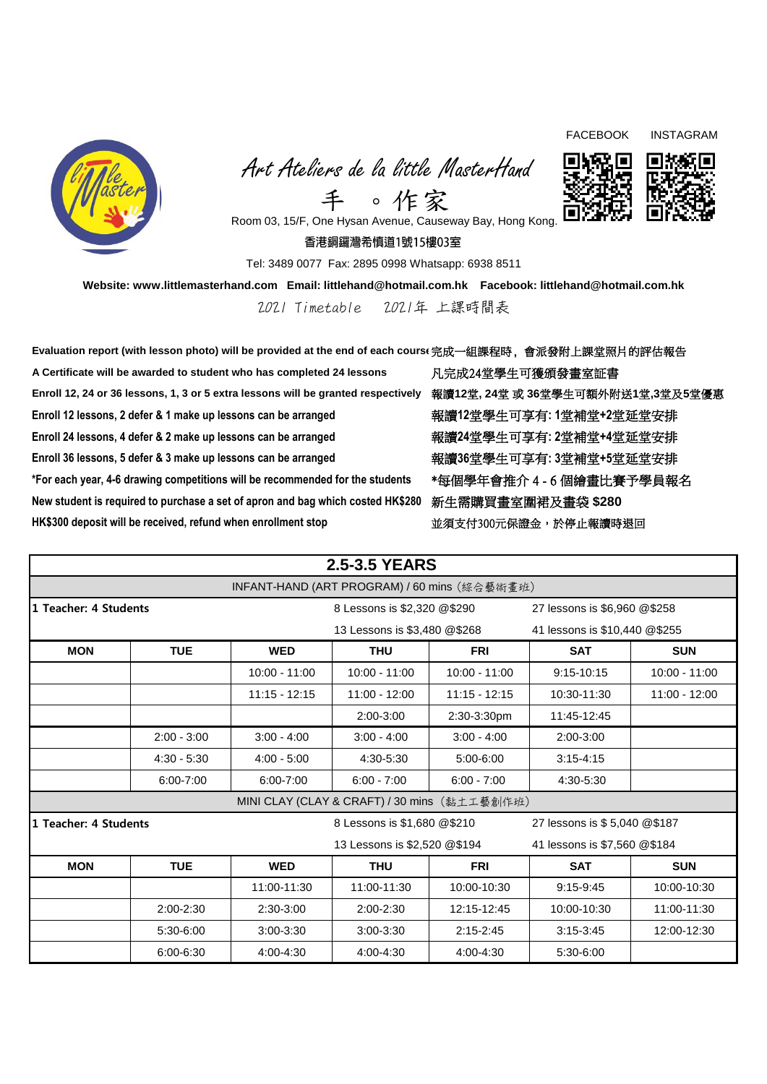

 Art Ateliers de la little MasterHand 手 。作家



FACEBOOK INSTAGRAM

Room 03, 15/F, One Hysan Avenue, Causeway Bay, Hong Kong.

香港銅鑼灣希慎道1號15樓03室

Tel: 3489 0077 Fax: 2895 0998 Whatsapp: 6938 8511

**Website: www.littlemasterhand.com Email: littlehand@hotmail.com.hk Facebook: littlehand@hotmail.com.hk**

2021 Timetable 2021年 上課時間表

**Evaluation report (with lesson photo) will be provided at the end of each course**完成一組課程時, 會派發附上課堂照片的評估報告 **A Certificate will be awarded to student who has completed 24 lessons** 凡完成24堂學生可獲頒發畫室証書 **Enroll 12, 24 or 36 lessons, 1, 3 or 5 extra lessons will be granted respectively** 報讀**12**堂**, 24**堂 或 **36**堂學生可額外附送**1**堂**,3**堂及**5**堂優惠 **Enroll 12 lessons, 2 defer & 1 make up lessons can be arranged** 報讀**12**堂學生可享有**: 1**堂補堂**+2**堂延堂安排 **Enroll 24 lessons, 4 defer & 2 make up lessons can be arranged** 報讀**24**堂學生可享有**: 2**堂補堂**+4**堂延堂安排 **Enroll 36 lessons, 5 defer & 3 make up lessons can be arranged** 報讀**36**堂學生可享有**: 3**堂補堂**+5**堂延堂安排 \*For each year, 4-6 drawing competitions will be recommended for the students \*每個學年會推介 4 - 6 個繪畫比賽予學員報名 **New student is required to purchase a set of apron and bag which costed HK\$280** 新生需購買畫室圍裙及畫袋 **\$280 HK\$300 deposit will be received, refund when enrollment stop** 並須支付300元保證金,於停止報讀時退回

| <b>2.5-3.5 YEARS</b>                         |                              |                 |                                              |                              |                               |                 |  |  |
|----------------------------------------------|------------------------------|-----------------|----------------------------------------------|------------------------------|-------------------------------|-----------------|--|--|
| INFANT-HAND (ART PROGRAM) / 60 mins (綜合藝術畫班) |                              |                 |                                              |                              |                               |                 |  |  |
| 1 Teacher: 4 Students                        |                              |                 | 8 Lessons is \$2,320 @\$290                  |                              | 27 lessons is \$6,960 @\$258  |                 |  |  |
|                                              |                              |                 | 13 Lessons is \$3,480 @\$268                 |                              | 41 lessons is \$10,440 @\$255 |                 |  |  |
| <b>MON</b>                                   | <b>TUE</b>                   | <b>WED</b>      | <b>THU</b>                                   | <b>FRI</b>                   | <b>SAT</b>                    | <b>SUN</b>      |  |  |
|                                              |                              | $10:00 - 11:00$ | $10:00 - 11:00$                              | $10:00 - 11:00$              | 9:15-10:15                    | $10:00 - 11:00$ |  |  |
|                                              |                              | $11:15 - 12:15$ | $11:00 - 12:00$                              | $11:15 - 12:15$              | 10:30-11:30                   | 11:00 - 12:00   |  |  |
|                                              |                              |                 | 2:00-3:00                                    | 2:30-3:30pm                  | 11:45-12:45                   |                 |  |  |
|                                              | $2:00 - 3:00$                | $3:00 - 4:00$   | $3:00 - 4:00$                                | $3:00 - 4:00$                | 2:00-3:00                     |                 |  |  |
|                                              | $4:30 - 5:30$                | $4:00 - 5:00$   | 4:30-5:30                                    | 5:00-6:00                    | $3:15 - 4:15$                 |                 |  |  |
|                                              | 6:00-7:00                    | 6:00-7:00       | $6:00 - 7:00$                                | $6:00 - 7:00$                | 4:30-5:30                     |                 |  |  |
|                                              |                              |                 | MINI CLAY (CLAY & CRAFT) / 30 mins (黏土工藝創作班) |                              |                               |                 |  |  |
| 1 Teacher: 4 Students                        |                              |                 | 8 Lessons is \$1,680 @\$210                  |                              | 27 lessons is \$5,040 @\$187  |                 |  |  |
|                                              | 13 Lessons is \$2,520 @\$194 |                 |                                              | 41 lessons is \$7,560 @\$184 |                               |                 |  |  |
| <b>MON</b>                                   | <b>TUE</b>                   | <b>WED</b>      | <b>THU</b>                                   | <b>FRI</b>                   | <b>SAT</b>                    | <b>SUN</b>      |  |  |
|                                              |                              | 11:00-11:30     | 11:00-11:30                                  | 10:00-10:30                  | $9:15-9:45$                   | 10:00-10:30     |  |  |
|                                              | 2:00-2:30                    | 2:30-3:00       | 2:00-2:30                                    | 12:15-12:45                  | 10:00-10:30                   | 11:00-11:30     |  |  |
|                                              | 5:30-6:00                    | $3:00-3:30$     | $3:00-3:30$                                  | $2:15 - 2:45$                | $3:15-3:45$                   | 12:00-12:30     |  |  |
|                                              | 6:00-6:30                    | 4:00-4:30       | 4:00-4:30                                    | 4:00-4:30                    | 5:30-6:00                     |                 |  |  |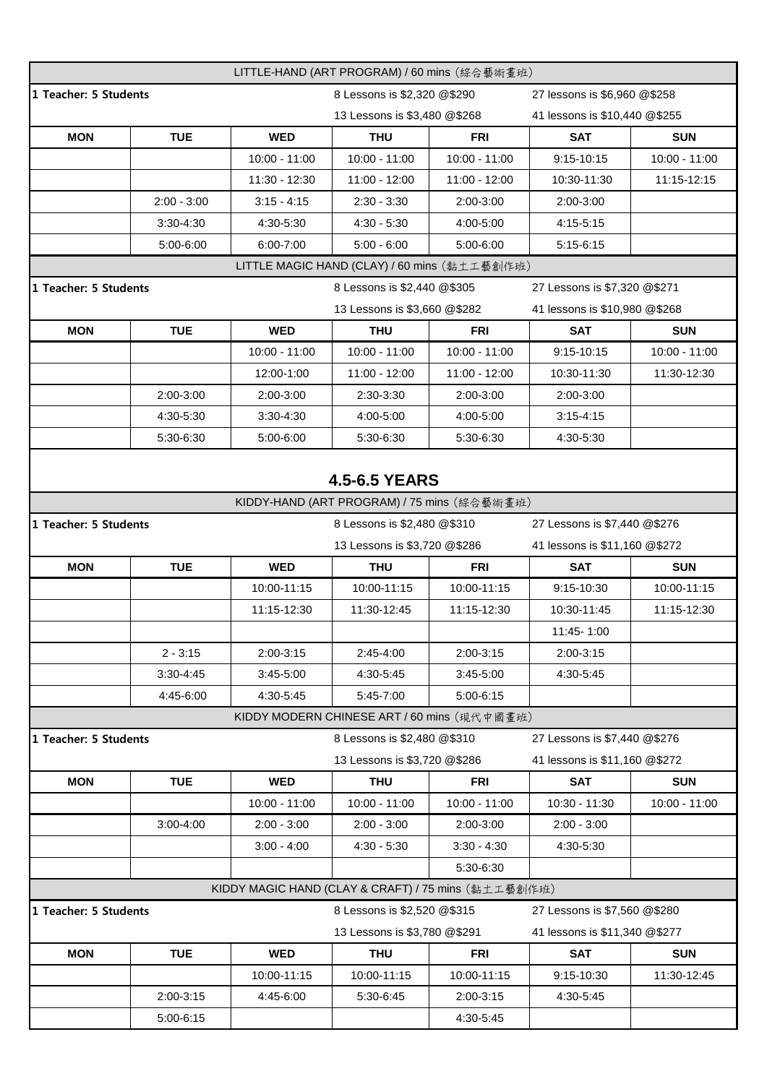| LITTLE-HAND (ART PROGRAM) / 60 mins (綜合藝術畫班)        |                                                                                      |                 |                                              |                                                               |                               |               |  |  |
|-----------------------------------------------------|--------------------------------------------------------------------------------------|-----------------|----------------------------------------------|---------------------------------------------------------------|-------------------------------|---------------|--|--|
| 1 Teacher: 5 Students                               |                                                                                      |                 | 8 Lessons is \$2,320 @\$290                  |                                                               | 27 lessons is \$6,960 @\$258  |               |  |  |
|                                                     |                                                                                      |                 | 13 Lessons is \$3,480 @\$268                 |                                                               | 41 lessons is \$10,440 @\$255 |               |  |  |
| <b>MON</b>                                          | <b>TUE</b>                                                                           | <b>WED</b>      | <b>THU</b>                                   | <b>FRI</b>                                                    | <b>SAT</b>                    | <b>SUN</b>    |  |  |
|                                                     |                                                                                      | 10:00 - 11:00   | $10:00 - 11:00$                              | $10:00 - 11:00$                                               | 9:15-10:15                    | 10:00 - 11:00 |  |  |
|                                                     |                                                                                      | 11:30 - 12:30   | 11:00 - 12:00                                | $11:00 - 12:00$                                               | 10:30-11:30                   | 11:15-12:15   |  |  |
|                                                     | $2:00 - 3:00$                                                                        | $3:15 - 4:15$   | $2:30 - 3:30$                                | 2:00-3:00                                                     | 2:00-3:00                     |               |  |  |
|                                                     | 3:30-4:30                                                                            | 4:30-5:30       | $4:30 - 5:30$                                | 4:00-5:00                                                     | 4:15-5:15                     |               |  |  |
|                                                     | 5:00-6:00                                                                            | 6:00-7:00       | $5:00 - 6:00$                                | $5:00 - 6:00$                                                 | $5:15-6:15$                   |               |  |  |
|                                                     |                                                                                      |                 | LITTLE MAGIC HAND (CLAY) / 60 mins (黏土工藝創作班) |                                                               |                               |               |  |  |
|                                                     | 1 Teacher: 5 Students<br>8 Lessons is \$2,440 @\$305<br>27 Lessons is \$7,320 @\$271 |                 |                                              |                                                               |                               |               |  |  |
|                                                     |                                                                                      |                 | 13 Lessons is \$3,660 @\$282                 |                                                               | 41 lessons is \$10,980 @\$268 |               |  |  |
| <b>MON</b>                                          | <b>TUE</b>                                                                           | <b>WED</b>      | <b>THU</b>                                   | <b>FRI</b>                                                    | <b>SAT</b>                    | <b>SUN</b>    |  |  |
|                                                     |                                                                                      | 10:00 - 11:00   | $10:00 - 11:00$                              | $10:00 - 11:00$                                               | 9:15-10:15                    | 10:00 - 11:00 |  |  |
|                                                     |                                                                                      | 12:00-1:00      | 11:00 - 12:00                                | $11:00 - 12:00$                                               | 10:30-11:30                   | 11:30-12:30   |  |  |
|                                                     | 2:00-3:00                                                                            | 2:00-3:00       | 2:30-3:30                                    | 2:00-3:00                                                     | 2:00-3:00                     |               |  |  |
|                                                     | 4:30-5:30                                                                            | 3:30-4:30       | 4:00-5:00                                    | 4:00-5:00                                                     | $3:15 - 4:15$                 |               |  |  |
|                                                     | 5:30-6:30                                                                            | 5:00-6:00       | 5:30-6:30                                    | 5:30-6:30                                                     | 4:30-5:30                     |               |  |  |
|                                                     |                                                                                      |                 |                                              |                                                               |                               |               |  |  |
|                                                     |                                                                                      |                 | <b>4.5-6.5 YEARS</b>                         |                                                               |                               |               |  |  |
|                                                     |                                                                                      |                 | KIDDY-HAND (ART PROGRAM) / 75 mins (綜合藝術畫班)  |                                                               |                               |               |  |  |
| 1 Teacher: 5 Students                               |                                                                                      |                 | 8 Lessons is \$2,480 @\$310                  |                                                               | 27 Lessons is \$7,440 @\$276  |               |  |  |
|                                                     |                                                                                      |                 |                                              | 13 Lessons is \$3,720 @\$286<br>41 lessons is \$11,160 @\$272 |                               |               |  |  |
| <b>MON</b>                                          | <b>TUE</b>                                                                           | <b>WED</b>      | <b>THU</b>                                   | <b>FRI</b>                                                    | <b>SAT</b>                    | <b>SUN</b>    |  |  |
|                                                     |                                                                                      | 10:00-11:15     | 10:00-11:15                                  | 10:00-11:15                                                   | 9:15-10:30                    | 10:00-11:15   |  |  |
|                                                     |                                                                                      | 11:15-12:30     | 11:30-12:45                                  | 11:15-12:30                                                   | 10:30-11:45                   | 11:15-12:30   |  |  |
|                                                     |                                                                                      |                 |                                              |                                                               | 11:45-1:00                    |               |  |  |
|                                                     | $2 - 3:15$                                                                           | 2:00-3:15       | 2:45-4:00                                    | 2:00-3:15                                                     | 2:00-3:15                     |               |  |  |
|                                                     | 3:30-4:45                                                                            | 3:45-5:00       | 4:30-5:45                                    | 3:45-5:00                                                     | 4:30-5:45                     |               |  |  |
|                                                     | 4:45-6:00                                                                            | 4:30-5:45       | 5:45-7:00                                    | 5:00-6:15                                                     |                               |               |  |  |
|                                                     |                                                                                      |                 | KIDDY MODERN CHINESE ART / 60 mins (現代中國畫班)  |                                                               |                               |               |  |  |
| 1 Teacher: 5 Students                               |                                                                                      |                 | 8 Lessons is \$2,480 @\$310                  |                                                               | 27 Lessons is \$7,440 @\$276  |               |  |  |
|                                                     |                                                                                      |                 | 13 Lessons is \$3,720 @\$286                 |                                                               | 41 lessons is \$11,160 @\$272 |               |  |  |
| <b>MON</b>                                          | <b>TUE</b>                                                                           | <b>WED</b>      | <b>THU</b>                                   | <b>FRI</b>                                                    | <b>SAT</b>                    | <b>SUN</b>    |  |  |
|                                                     |                                                                                      | $10:00 - 11:00$ | $10:00 - 11:00$                              | $10:00 - 11:00$                                               | 10:30 - 11:30                 | 10:00 - 11:00 |  |  |
|                                                     | 3:00-4:00                                                                            | $2:00 - 3:00$   | $2:00 - 3:00$                                | 2:00-3:00                                                     | $2:00 - 3:00$                 |               |  |  |
|                                                     |                                                                                      | $3:00 - 4:00$   | $4:30 - 5:30$                                | $3:30 - 4:30$                                                 | 4:30-5:30                     |               |  |  |
|                                                     |                                                                                      |                 |                                              | 5:30-6:30                                                     |                               |               |  |  |
| KIDDY MAGIC HAND (CLAY & CRAFT) / 75 mins (黏土工藝創作班) |                                                                                      |                 |                                              |                                                               |                               |               |  |  |
| 1 Teacher: 5 Students                               |                                                                                      |                 | 8 Lessons is \$2,520 @\$315                  |                                                               | 27 Lessons is \$7,560 @\$280  |               |  |  |
|                                                     |                                                                                      |                 | 13 Lessons is \$3,780 @\$291                 |                                                               | 41 lessons is \$11,340 @\$277 |               |  |  |
| <b>MON</b>                                          | <b>TUE</b>                                                                           | <b>WED</b>      | <b>THU</b>                                   | <b>FRI</b>                                                    | <b>SAT</b>                    | <b>SUN</b>    |  |  |
|                                                     |                                                                                      | 10:00-11:15     | 10:00-11:15                                  | 10:00-11:15                                                   | 9:15-10:30                    | 11:30-12:45   |  |  |
|                                                     | 2:00-3:15                                                                            | 4:45-6:00       | 5:30-6:45                                    | 2:00-3:15                                                     | 4:30-5:45                     |               |  |  |
|                                                     | 5:00-6:15                                                                            |                 |                                              | 4:30-5:45                                                     |                               |               |  |  |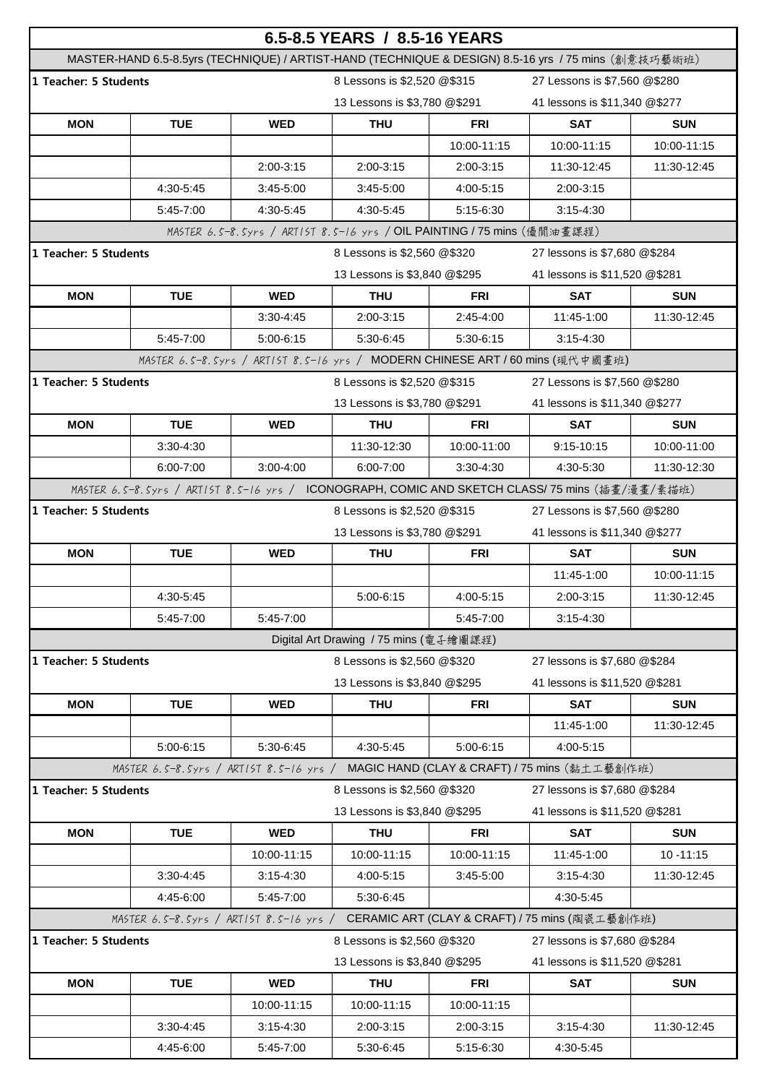| 6.5-8.5 YEARS / 8.5-16 YEARS                                                              |                                                                                                      |               |                                        |               |                                                                               |              |  |
|-------------------------------------------------------------------------------------------|------------------------------------------------------------------------------------------------------|---------------|----------------------------------------|---------------|-------------------------------------------------------------------------------|--------------|--|
|                                                                                           | MASTER-HAND 6.5-8.5yrs (TECHNIQUE) / ARTIST-HAND (TECHNIQUE & DESIGN) 8.5-16 yrs / 75 mins (創意技巧藝術班) |               |                                        |               |                                                                               |              |  |
| 1 Teacher: 5 Students                                                                     |                                                                                                      |               | 8 Lessons is \$2,520 @\$315            |               | 27 Lessons is \$7,560 @\$280                                                  |              |  |
|                                                                                           |                                                                                                      |               | 13 Lessons is \$3,780 @\$291           |               | 41 lessons is \$11,340 @\$277                                                 |              |  |
| <b>MON</b>                                                                                | <b>TUE</b>                                                                                           | <b>WED</b>    | <b>THU</b>                             | <b>FRI</b>    | <b>SAT</b>                                                                    | <b>SUN</b>   |  |
|                                                                                           |                                                                                                      |               |                                        | 10:00-11:15   | 10:00-11:15                                                                   | 10:00-11:15  |  |
|                                                                                           |                                                                                                      | 2:00-3:15     | 2:00-3:15                              | 2:00-3:15     | 11:30-12:45                                                                   | 11:30-12:45  |  |
|                                                                                           | 4:30-5:45                                                                                            | 3:45-5:00     | 3:45-5:00                              | 4:00-5:15     | 2:00-3:15                                                                     |              |  |
|                                                                                           | 5:45-7:00                                                                                            | 4:30-5:45     | 4:30-5:45                              | 5:15-6:30     | $3:15 - 4:30$                                                                 |              |  |
| MASTER 6.5-8.5yrs / ART15T 8.5-16 yrs / OIL PAINTING / 75 mins (優閒油畫課程)                   |                                                                                                      |               |                                        |               |                                                                               |              |  |
| 1 Teacher: 5 Students                                                                     |                                                                                                      |               | 8 Lessons is \$2,560 @\$320            |               | 27 lessons is \$7,680 @\$284                                                  |              |  |
|                                                                                           |                                                                                                      |               | 13 Lessons is \$3,840 @\$295           |               | 41 lessons is \$11,520 @\$281                                                 |              |  |
| <b>MON</b>                                                                                | <b>TUE</b>                                                                                           | <b>WED</b>    | <b>THU</b>                             | FRI           | <b>SAT</b>                                                                    | <b>SUN</b>   |  |
|                                                                                           |                                                                                                      | $3:30-4:45$   | 2:00-3:15                              | 2:45-4:00     | 11:45-1:00                                                                    | 11:30-12:45  |  |
|                                                                                           | 5:45-7:00                                                                                            | $5:00-6:15$   | 5:30-6:45                              | 5:30-6:15     | $3:15 - 4:30$                                                                 |              |  |
|                                                                                           |                                                                                                      |               |                                        |               | MASTER 6.5-8.5yrs / ARTIST 8.5-16 yrs / MODERN CHINESE ART / 60 mins (現代中國畫班) |              |  |
| 1 Teacher: 5 Students                                                                     |                                                                                                      |               | 8 Lessons is \$2,520 @\$315            |               | 27 Lessons is \$7,560 @\$280                                                  |              |  |
|                                                                                           |                                                                                                      |               | 13 Lessons is \$3,780 @\$291           |               | 41 lessons is \$11,340 @\$277                                                 |              |  |
| <b>MON</b>                                                                                | <b>TUE</b>                                                                                           | <b>WED</b>    | <b>THU</b>                             | <b>FRI</b>    | <b>SAT</b>                                                                    | <b>SUN</b>   |  |
|                                                                                           | 3:30-4:30                                                                                            |               | 11:30-12:30                            | 10:00-11:00   | 9:15-10:15                                                                    | 10:00-11:00  |  |
|                                                                                           | 6:00-7:00                                                                                            | $3:00-4:00$   | 6:00-7:00                              | $3:30 - 4:30$ | 4:30-5:30                                                                     | 11:30-12:30  |  |
|                                                                                           | MASTER 6.5-8.5yrs / ART15T 8.5-16 yrs / ICONOGRAPH, COMIC AND SKETCH CLASS/75 mins (插畫/漫畫/素描班)       |               |                                        |               |                                                                               |              |  |
| 1 Teacher: 5 Students<br>8 Lessons is \$2,520 @\$315<br>27 Lessons is \$7,560 @\$280      |                                                                                                      |               |                                        |               |                                                                               |              |  |
|                                                                                           |                                                                                                      |               | 13 Lessons is \$3,780 @\$291           |               | 41 lessons is \$11,340 @\$277                                                 |              |  |
| <b>MON</b>                                                                                | <b>TUE</b>                                                                                           | <b>WED</b>    | <b>THU</b>                             | <b>FRI</b>    | <b>SAT</b>                                                                    | <b>SUN</b>   |  |
|                                                                                           |                                                                                                      |               |                                        |               | 11:45-1:00                                                                    | 10:00-11:15  |  |
|                                                                                           | 4:30-5:45                                                                                            |               | 5:00-6:15                              | 4:00-5:15     | 2:00-3:15                                                                     | 11:30-12:45  |  |
|                                                                                           | 5:45-7:00                                                                                            | 5:45-7:00     |                                        | 5:45-7:00     | $3:15 - 4:30$                                                                 |              |  |
|                                                                                           |                                                                                                      |               | Digital Art Drawing / 75 mins (電子繪圖課程) |               |                                                                               |              |  |
| 1 Teacher: 5 Students                                                                     |                                                                                                      |               | 8 Lessons is \$2,560 @\$320            |               | 27 lessons is \$7,680 @\$284                                                  |              |  |
|                                                                                           |                                                                                                      |               | 13 Lessons is \$3,840 @\$295           |               | 41 lessons is \$11,520 @\$281                                                 |              |  |
| <b>MON</b>                                                                                | <b>TUE</b>                                                                                           | <b>WED</b>    | <b>THU</b>                             | <b>FRI</b>    | <b>SAT</b>                                                                    | <b>SUN</b>   |  |
|                                                                                           |                                                                                                      |               |                                        |               | 11:45-1:00                                                                    | 11:30-12:45  |  |
|                                                                                           | 5:00-6:15                                                                                            | 5:30-6:45     | 4:30-5:45                              | 5:00-6:15     | 4:00-5:15                                                                     |              |  |
|                                                                                           | MASTER 6.5-8.5yrs / ARTIST 8.5-16 yrs /                                                              |               |                                        |               | MAGIC HAND (CLAY & CRAFT) / 75 mins (黏土工藝創作班)                                 |              |  |
| 1 Teacher: 5 Students<br>8 Lessons is \$2,560 @\$320<br>27 lessons is \$7,680 @\$284      |                                                                                                      |               |                                        |               |                                                                               |              |  |
|                                                                                           |                                                                                                      |               | 13 Lessons is \$3,840 @\$295           |               | 41 lessons is \$11,520 @\$281                                                 |              |  |
| <b>MON</b>                                                                                | <b>TUE</b>                                                                                           | <b>WED</b>    | <b>THU</b>                             | <b>FRI</b>    | <b>SAT</b>                                                                    | <b>SUN</b>   |  |
|                                                                                           |                                                                                                      | 10:00-11:15   | 10:00-11:15                            | 10:00-11:15   | 11:45-1:00                                                                    | $10 - 11:15$ |  |
|                                                                                           | 3:30-4:45                                                                                            | $3:15 - 4:30$ | 4:00-5:15                              | 3:45-5:00     | $3:15-4:30$                                                                   | 11:30-12:45  |  |
|                                                                                           | 4:45-6:00                                                                                            | 5:45-7:00     | 5:30-6:45                              |               | 4:30-5:45                                                                     |              |  |
| CERAMIC ART (CLAY & CRAFT) / 75 mins (陶瓷工藝創作班)<br>MASTER 6.5-8.5yrs / ARTIST 8.5-16 yrs / |                                                                                                      |               |                                        |               |                                                                               |              |  |
| 1 Teacher: 5 Students<br>8 Lessons is \$2,560 @\$320<br>27 lessons is \$7,680 @\$284      |                                                                                                      |               |                                        |               |                                                                               |              |  |
|                                                                                           |                                                                                                      |               | 13 Lessons is \$3,840 @\$295           |               | 41 lessons is \$11,520 @\$281                                                 |              |  |
| <b>MON</b>                                                                                | <b>TUE</b>                                                                                           | <b>WED</b>    | <b>THU</b>                             | FRI           | <b>SAT</b>                                                                    | <b>SUN</b>   |  |
|                                                                                           |                                                                                                      | 10:00-11:15   | 10:00-11:15                            | 10:00-11:15   |                                                                               |              |  |
|                                                                                           | 3:30-4:45                                                                                            | $3:15 - 4:30$ | 2:00-3:15                              | 2:00-3:15     | $3:15-4:30$                                                                   | 11:30-12:45  |  |
|                                                                                           |                                                                                                      |               |                                        |               |                                                                               |              |  |
|                                                                                           | 4:45-6:00                                                                                            | 5:45-7:00     | 5:30-6:45                              | 5:15-6:30     | 4:30-5:45                                                                     |              |  |